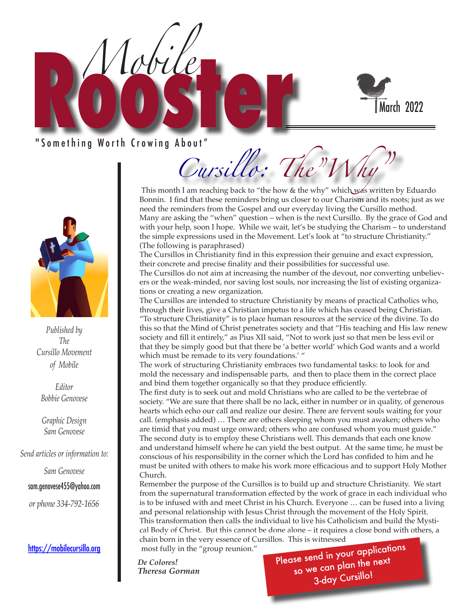

### " Something Worth Crowing About"

*Mobile*



*Published by The Cursillo Movement of Mobile*

*Editor Bobbie Genovese*

*Graphic Design Sam Genovese*

*Send articles or information to:* 

*Sam Genovese*

sam.genovese455@yahoo.com

*or phone 334-792-1656*

#### https://mobilecursillo.org

Cursillo: The"V

This month I am reaching back to "the how & the why" which was written by Eduardo Bonnin. I find that these reminders bring us closer to our Charism and its roots; just as we need the reminders from the Gospel and our everyday living the Cursillo method. Many are asking the "when" question – when is the next Cursillo. By the grace of God and with your help, soon I hope. While we wait, let's be studying the Charism – to understand the simple expressions used in the Movement. Let's look at "to structure Christianity." (The following is paraphrased)

The Cursillos in Christianity find in this expression their genuine and exact expression, their concrete and precise finality and their possibilities for successful use.

The Cursillos do not aim at increasing the number of the devout, nor converting unbelievers or the weak-minded, nor saving lost souls, nor increasing the list of existing organizations or creating a new organization.

The Cursillos are intended to structure Christianity by means of practical Catholics who, through their lives, give a Christian impetus to a life which has ceased being Christian. "To structure Christianity" is to place human resources at the service of the divine. To do this so that the Mind of Christ penetrates society and that "His teaching and His law renew society and fill it entirely," as Pius XII said, "Not to work just so that men be less evil or that they be simply good but that there be 'a better world' which God wants and a world which must be remade to its very foundations.' "

The work of structuring Christianity embraces two fundamental tasks: to look for and mold the necessary and indispensable parts, and then to place them in the correct place and bind them together organically so that they produce efficiently.

The first duty is to seek out and mold Christians who are called to be the vertebrae of society. "We are sure that there shall be no lack, either in number or in quality, of generous hearts which echo our call and realize our desire. There are fervent souls waiting for your call. (emphasis added) … There are others sleeping whom you must awaken; others who are timid that you must urge onward; others who are confused whom you must guide." The second duty is to employ these Christians well. This demands that each one know and understand himself where he can yield the best output. At the same time, he must be conscious of his responsibility in the corner which the Lord has confided to him and he must be united with others to make his work more efficacious and to support Holy Mother Church.

Remember the purpose of the Cursillos is to build up and structure Christianity. We start from the supernatural transformation effected by the work of grace in each individual who is to be infused with and meet Christ in his Church. Everyone … can be fused into a living and personal relationship with Jesus Christ through the movement of the Holy Spirit. This transformation then calls the individual to live his Catholicism and build the Mystical Body of Christ. But this cannot be done alone – it requires a close bond with others, a chain born in the very essence of Cursillos. This is witnessed

most fully in the "group reunion."

*De Colores! Theresa Gorman* Please send in your applications so we can plan the next 3-day Cursillo!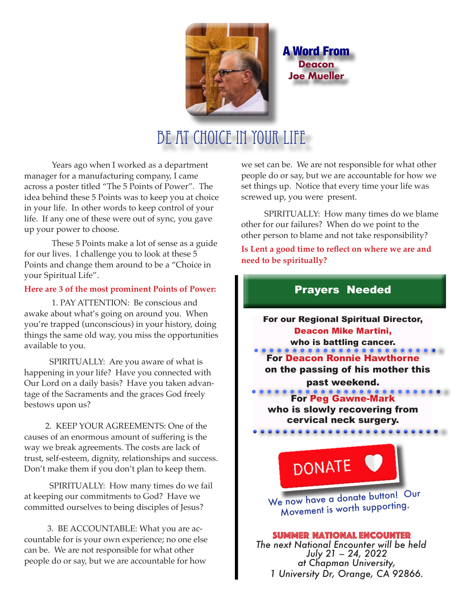

A Word From **Deacon Joe Mueller**

# Be At Choice in Your Life

Years ago when I worked as a department manager for a manufacturing company, I came across a poster titled "The 5 Points of Power". The idea behind these 5 Points was to keep you at choice in your life. In other words to keep control of your life. If any one of these were out of sync, you gave up your power to choose.

These 5 Points make a lot of sense as a guide for our lives. I challenge you to look at these 5 Points and change them around to be a "Choice in your Spiritual Life".

#### **Here are 3 of the most prominent Points of Power:**

1. PAY ATTENTION: Be conscious and awake about what's going on around you. When you're trapped (unconscious) in your history, doing things the same old way, you miss the opportunities available to you.

 SPIRITUALLY: Are you aware of what is happening in your life? Have you connected with Our Lord on a daily basis? Have you taken advantage of the Sacraments and the graces God freely bestows upon us?

 2. KEEP YOUR AGREEMENTS: One of the causes of an enormous amount of suffering is the way we break agreements. The costs are lack of trust, self-esteem, dignity, relationships and success. Don't make them if you don't plan to keep them.

 SPIRITUALLY: How many times do we fail at keeping our commitments to God? Have we committed ourselves to being disciples of Jesus?

 3. BE ACCOUNTABLE: What you are accountable for is your own experience; no one else can be. We are not responsible for what other people do or say, but we are accountable for how

we set can be. We are not responsible for what other people do or say, but we are accountable for how we set things up. Notice that every time your life was screwed up, you were present.

 SPIRITUALLY: How many times do we blame other for our failures? When do we point to the other person to blame and not take responsibility?

**Is Lent a good time to reflect on where we are and need to be spiritually?**

### Prayers Needed

For our Regional Spiritual Director, Deacon Mike Martini, who is battling cancer. For Deacon Ronnie Hawthorne on the passing of his mother this past weekend. **CORPORATION**<br>For Peg Gawne-Mark

who is slowly recovering from cervical neck surgery.

**DONATE** 

We now have a donate button! Our Movement is worth supporting.

 Summer National Encounter *The next National Encounter will be held July 21 – 24, 2022 at Chapman University, 1 University Dr, Orange, CA 92866.*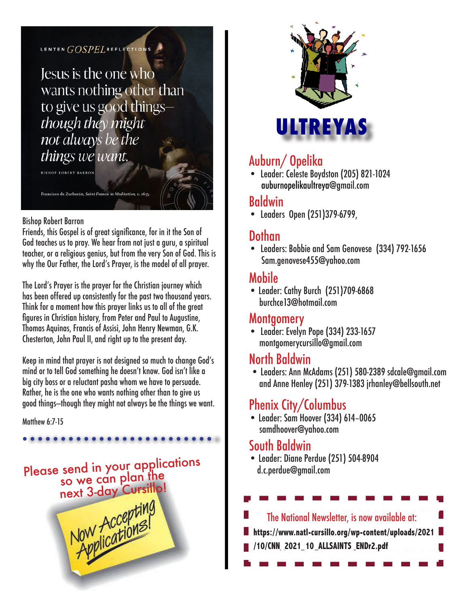### LENTEN GOSPELREFLECTIONS

Jesus is the one who wants nothing other than to give us good thingsthough they might not always be the things we want.

Francisco de Zurbarán, Saint Francis in Meditation, c. 1635

#### Bishop Robert Barron

Friends, this Gospel is of great significance, for in it the Son of God teaches us to pray. We hear from not just a guru, a spiritual teacher, or a religious genius, but from the very Son of God. This is why the Our Father, the Lord's Prayer, is the model of all prayer.

The Lord's Prayer is the prayer for the Christian journey which has been offered up consistently for the past two thousand years. Think for a moment how this prayer links us to all of the great figures in Christian history, from Peter and Paul to Augustine, Thomas Aquinas, Francis of Assisi, John Henry Newman, G.K. Chesterton, John Paul II, and right up to the present day.

Keep in mind that prayer is not designed so much to change God's mind or to tell God something he doesn't know. God isn't like a big city boss or a reluctant pasha whom we have to persuade. Rather, he is the one who wants nothing other than to give us good things—though they might not always be the things we want.

Matthew 6:7-15





### Auburn/ Opelika

• Leader: Celeste Boydston (205) 821-1024 auburnopelikaultreya@gmail.com

### Baldwin

• Leaders Open (251)379-6799,

#### J Dothan

• Leaders: Bobbie and Sam Genovese (334) 792-1656 Sam.genovese455@yahoo.com

### Mobile

• Leader: Cathy Burch (251)709-6868 burchce13@hotmail.com

### Montgomery

• Leader: Evelyn Pope (334) 233-1657 montgomerycursillo@gmail.com

### North Baldwin

 • Leaders: Ann McAdams (251) 580-2389 sdcale@gmail.com and Anne Henley (251) 379-1383 jrhanley@bellsouth.net

## Phenix City/Columbus

• Leader: Sam Hoover (334) 614–0065 samdhoover@yahoo.com

### South Baldwin

• Leader: Diane Perdue (251) 504-8904 d.c.perdue@gmail.com